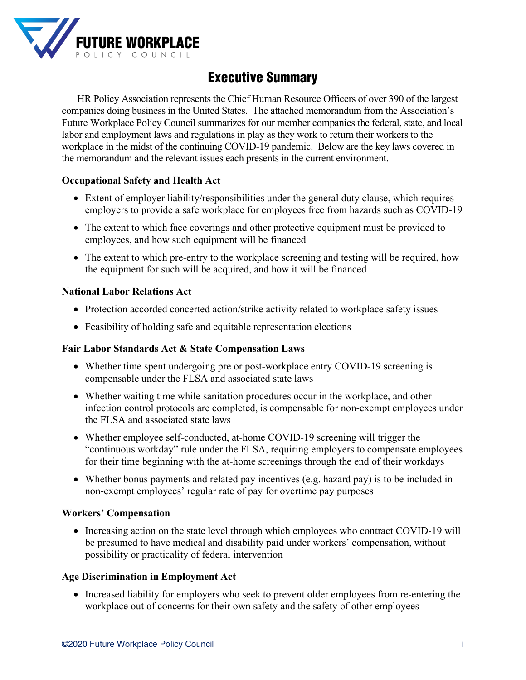

# Executive Summary

HR Policy Association represents the Chief Human Resource Officers of over 390 of the largest companies doing business in the United States. The attached memorandum from the Association's Future Workplace Policy Council summarizes for our member companies the federal, state, and local labor and employment laws and regulations in play as they work to return their workers to the workplace in the midst of the continuing COVID-19 pandemic. Below are the key laws covered in the memorandum and the relevant issues each presents in the current environment.

### **Occupational Safety and Health Act**

- Extent of employer liability/responsibilities under the general duty clause, which requires employers to provide a safe workplace for employees free from hazards such as COVID-19
- The extent to which face coverings and other protective equipment must be provided to employees, and how such equipment will be financed
- The extent to which pre-entry to the workplace screening and testing will be required, how the equipment for such will be acquired, and how it will be financed

#### **National Labor Relations Act**

- Protection accorded concerted action/strike activity related to workplace safety issues
- Feasibility of holding safe and equitable representation elections

#### **Fair Labor Standards Act & State Compensation Laws**

- Whether time spent undergoing pre or post-workplace entry COVID-19 screening is compensable under the FLSA and associated state laws
- Whether waiting time while sanitation procedures occur in the workplace, and other infection control protocols are completed, is compensable for non-exempt employees under the FLSA and associated state laws
- Whether employee self-conducted, at-home COVID-19 screening will trigger the "continuous workday" rule under the FLSA, requiring employers to compensate employees for their time beginning with the at-home screenings through the end of their workdays
- Whether bonus payments and related pay incentives (e.g. hazard pay) is to be included in non-exempt employees' regular rate of pay for overtime pay purposes

#### **Workers' Compensation**

• Increasing action on the state level through which employees who contract COVID-19 will be presumed to have medical and disability paid under workers' compensation, without possibility or practicality of federal intervention

#### **Age Discrimination in Employment Act**

• Increased liability for employers who seek to prevent older employees from re-entering the workplace out of concerns for their own safety and the safety of other employees